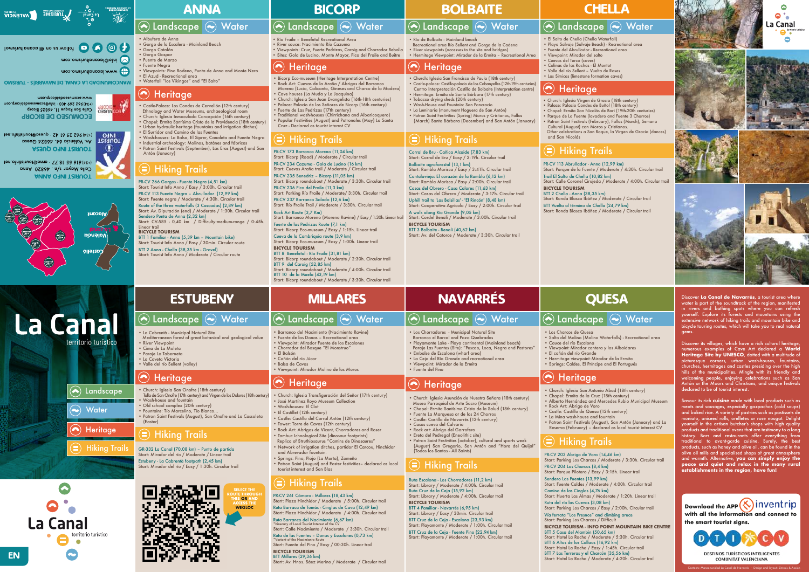

# **E** © C C C C C C C construction on @lacaualturismol

moo.omainutlonoopl@otni

mop.omainutlonopol.www

 $\mathbf{U}$ 

**OMSIRUT - 25 YANAL DE NAVARRES - TURISMO** 

## www.ecomuseodebicorp.com (434) 962 269 403 · info@ecomuseodebicorp.com **LECT MUSEO** Calle San Roque 11, 46825 Bicorp **ECOMNAEO DE BICOKH**

**TOURIST AV. València 64. 46824 Quesa**<br>**ROURIST REPORTS 25 61 42 · quesa@tourist** 190.olnitainuot@paeup · SA 16 25 269 (AE+) **ASJUQ OTMI TRIAUOT** 

ten.othitsituot@pnnp · TV 81 22 816 (k£+) Calle Mayor s/n. 46820 Anna **ANNA OTMI TRIAUOT** 



**La Canal** 

 $\bigodot$ 

 $\left(\!\!\left.\bullet\!\!\right)\!\!\right)$ 

La Canal

Landscape (a) Water

# ANNA BICORP BOLBAITE CHELLA

- · Albufera de Anna
- ï Gorgo de la Escalera Mainland Beach • Gorgo Catalán
- **Gorgo Gaspar**
- Fuente de Marzo

# $\left(\bullet\right)$  Landscape  $\left(\bullet\right)$  Water

 $\left( \bullet \right)$ 

- **Fuente Neara**
- Viewpoints: Pino Rodeno, Punta de Anna and Monte Nero ï El Azud - Recreational area
- Waterfall "los Vikingos" and "El Salto"

## **Heritage**  $\left( \bullet \right)$

PR-CV 266 Gorgos - Fuente Negra (4,51 km)

Start: Tourist Info Anna / Easy / 3:00h. Circular trail PR-CV 113 Fuente Negra – Abrullador (12,99 km) Start: Fuente negra / Moderate / 4:30h. Circular trail Route of the three waterfalls (3 Cascadas) (2,89 km) Start: Av. Diputación (end) / Moderate / 1:30h. Circular trail Sendero Punta de Anna (2,32 km) Start: CV-585 - 0,40 km / Difficulty:medium-range / 0:45h. Linear trail **BICYCLE TOURISM**

BTT 1 Familiar - Anna (5,39 km – Mountain bike) Start: Tourist Info Anna / Easy / 30min. Circular route BTT 2 Anna - Chella (38,35 km - Gravel)

Start: Tourist Info Anna / Moderate / Circular route

# $\left(\bullet\right)$  Landscape  $\left(\bullet\right)$  Water

- Río Fraile Benefetal Recreational Area
- · River souce: Nacimiento Río Cazuma ï Viewpoints: Cruz, Fuerte Pedrizas, Caroig and Chorrador Rebolla
- · Sites: Gola de Lucino, Monte Mayor, Pico del Fraile and Buitre

## $\odot$ **Heritage**

- ï Castle-Palace: Los Condes de Cervellón (12th century) Ethnology and Water Museums, archaeological room
- · Church: Iglesia Inmaculada Concepción (16th century)
- ï Chapel: Ermita Santísimo Cristo de la Providencia (18th century)
- Urban hydraulic heritage (fountains and irrigation ditches)
- El Surtidor and Camino de las Fuentes · Wash-houses: La Balsa, El Siprer, Canaleta and Fuente Negra
- Industrial archeology: Molinos, batánes and fábricas • Patron Saint Festivals (September), Las Eras (August) and San Antón (January)
- Río de Bolbaite Mainland beach
- Recreational area Río Sellent and Gorgo de la Cadena • River viewpoints (accesses to the site and bridges)
- ï Hermitage Viewpoint: Mirador de la Ermita Recreational Area

## **Heritage**

- Corral de Bru Cañica Alcaide (7,83 km) Start: Corral de Bru / Easy / 2:19h. Circular trail
- Bolbaite agroforestal (13,1 km)
- Start: Rambla Marisca / Easy / 3:41h. Circular trail Cantalavieja: El corazón de la Rambla (6,12 km)
- Start: Rambla Marisca / Easy / 2:00h. Circular trail
- Casas del Obrero Casa Calores (11,63 km) Start: Casas del Obrero / Moderate / 3:17h. Circular trail
- Uphill trail to 'Las Balsillas' 'El Rincón' (8,48 km) Start: Cooperativa Agrícola / Easy / 2:00h. Circular trail
- A walk along Río Grande (9,05 km) Start: Cordel Benali / Moderate / 3:00h. Circular trail
- BTT 3 Bolbaite Benali (40,62 km)
- Start: Av. del Catorce / Moderate / 3:30h. Circular trail

- Church: Iglesia Virgen de Gracia (18th century)
- ï Palace: Palacio Condes de Buñol (18th century) ï Chapel: Ermita San Nicolás de Bari (19th-20th centuries)
- ï Parque de La Fuente (lavadero and Fuente 3 Chorros)
- ï Patron Saint Festivals (February), Fallas (March), Semana Cultural (August) con Moros y Cristianos. Other celebrations a San Roque, la Virgen de Gracia (dances)

**(→)** Water

- ï Valle del río Sellent Vuelta de Roses
- Las Simicas (limestone formation caves)

## $\left( \bullet \right)$ **Heritage**

**BICYCLE TOURISM**

# $\left\langle \bullet \right\rangle$  Landscape  $\left\langle \bullet \right\rangle$  Water

- Los Chorradores Municipal Natural Site Barranco el Barcal and Pozo Quebradas
- ï Playamonte Lake Playa continental (Mainland beach)
- Paraje Las Fuentes (Site): "Pescao, Loca, Negra and Pastores"
- **Embalse de Escalona (wharf area)**
- ï La Ceja del Río Grande and recreational area
- ï Viewpoint: Mirador de la Ermita • Fuente del Pino

## $\left( \bullet \right)$ **Heritage**

- · Bicorp Eco-museum (Heritage Interpretation Centre) ï Rock Art: Cuevas de la Araña / Abrigos del Barranco
- Moreno (Lucio, Calicanto, Gineses and Charco de la Madera) ï Cave houses (La Muda y La Joaquina)
- Church: Iglesia San Juan Evangelista (16th-18th centuries)
- ï Palace: Palacio de los Señores de Bicorp (16th century)
- ï Fuerte de Las Pedrizas (17th century)
- Traditional wash-houses (Chirrichana and Albaricoquero) ï Popular Festivities (August) and Patronales (May) La Santa Cruz - Declared as tourist interest CV
- ï Church: Iglesia San Francisco de Paula (18th century) ï Castle-palace: Castillo-palacio de los Cabanyelles (12th-19th centuries) Centro Interpretación Castillo de Bolbaite (Interpretation centre) ï Hermitage: Ermita de Santa Bárbara (17th century)
- Tobacco drying sheds (20th century) ï Wash-House and Fountain: San Pancracio
- ï La Luminaria (monument Hoguera de San Antón)
- ï Patron Saint Festivities (Spring) Moros y Cristianos, Fallas (March) Santa Bárbara (December) and San Antón (January)

# $\left( \equiv\right)$  Hiking Trails

PR-CV 113 Abrullador - Anna (12,99 km) Start: Parque de la Fuente / Moderate / 4:30h. Circular trail Trail El Salto de Chella (10,82 km) Start: Calle Coronel Cirujeda / Moderate / 4:00h. Circular trail **BICYCLE TOURISM** BTT 2 Chella - Anna (38,35 km) Start: Ronda Blasco Ibáñez / Moderate / Circular trail BTT Vuelta al término de Chella (24,79 km) Start: Ronda Blasco Ibáñez / Moderate / Circular trail

# Water  $\left|\left\langle \bullet\right\rangle$  Landscape  $\left\langle \bullet\right\rangle$  Water

- Church: Iglesia San Onofre (18th century)
- Talla de San Onofre (17th century) and Virgen de los Dolores (18th century) Wash-house and fountain
- Old school complex (20th century) ï Fountains: Tío Marcelino, Tío Blanco…
- **Patron Saint Festivals (August), San Onofre and La Cassoleta** (Easter)

 Mediterranean forest of great botanical and geological value River Viewpoint

- ï Cima de La Moleta
- ï Paraje La Taberneta • La Coveta Victoria

Ruta Escalona - Los Chorradores (11,2 km)  $\left(\equiv\right)$  Hiking Trails

and San Nicolás

- ï Church: Iglesia Asunción de Nuestra Señora (18th century)
- Museo Parroquial de Arte Sacro (Museum) • Chapel: Ermita Santísimo Cristo de la Salud (18th century)
- ï Fuente La Marquesa or de los 24 Chorros
- ï Castle: Castillo de Navarrés (12th century) • Casas cueva del Calvario
- ï El Salto de Chella (Chella Waterfall)
- ï Playa Salvaje (Salvaje Beach) Recreational area
- ï Fuente del Abrullador Recreational area
- · Viewpoint: Mirador del salto **· Cuevas del Turco (caves)**
- ï Colinas de las Rochas El Montot

 $\left( \bigwedge$  Landscape

• Patron Saint Festivities (october), cultural and sports week (August) San Gregorio, San Antón and "Hora del Quijal"

- Church: Iglesia San Antonio Abad (18th century)
- ï Chapel: Ermita de la Cruz (18th century)
- 
- 
- 
- 
- Reserva (February) declared as local tourist interest CV
- ï Los Charcos de Quesa
- ï Salto del Molino (Molino Waterfalls) Recreational area
- 
- 
- · El cañón del río Grande
- 
- 

## $\left( \bullet \right)$ **Heritage**

- 
- 
- Cauce del río Escalona
- ï Viewpoint: Mirador cantera y los Albaidares
- 
- ï Hermitage viewpoint: Mirador de la Ermita
- ï Springs: Caldes, El Príncipe and El Portugués

PR-CV 173 Barranco Moreno (11,04 km) Start: Bicorp (Road) / Moderate / Circular trail PR-CV 234 Cazuma - Gola de Lucino (16 km) Start: Cuevas Araña trail / Moderate / Circular trail PR-CV 235 Benedriz – Bicorp (11,05 km) Start: Bicorp roundabout / Moderate / 3:30h. Circular trail PR-CV 236 Pico del Fraile (11,3 km) Start: Parking Río Fraile / Moderate/ 3:30h. Circular trail PR-CV 237 Barranco Salado (12,6 km) Start: Río Fraile Trail / Moderate / 3:30h. Circular trail Rock Art Route (3,7 Km) Start: Barranco Moreno (Moreno Ravine) / Easy / 1:30h. Linear trail Fuerte de las Pedrizas Route (7,1 km) Start: Bicorp Eco-museum / Easy / 1:15h. Linear trail Cueva de la Cambriquia route (3,9 km) Start: Bicorp Eco-museum / Easy / 1:00h. Linear trail **BICYCLE TOURISM**

## Hiking Trails  $\left( \blacksquare \right)$

BTT 8 Benefetal - Río Fraile (31,81 km) Start: Bicorp roundabout / Moderate / 2:30h. Circular trail BTT 9 del Caroig (52,85 km) Start: Bicorp roundabout / Moderate / 4:00h. Circular trail BTT 10 de la Muela (43,19 km) Start: Bicorp roundabout / Moderate / 3:30h. Circular trail

# ESTUBENY | MILLARES | NAVARRÉS | QUESA

# $\left( \bullet \right)$  Landscape  $\left( \bullet \right)$  .

La Cabrentà - Municipal Natural Site

GR-332 La Canal (70,08 km) – Punto de partida Start: Mirador del río / Moderate / Linear trail Estubeny - La Cabrentà footpath (2,45 km) Start: Mirador del río / Easy / 1:30h. Circular trail





# Water  $\bigcirc$  Landscape  $\bigcirc$  Water

PR-CV 261 Cámaro - Millares (18,43 km) Start: Plaza Hinchidor / Moderate / 5:00h. Circular trail Ruta Barraca de Tomás - Cinglas de Cava (12,49 km) Start: Plaza Hinchidor / Moderate / 4:00h. Circular trail Ruta Barranco del Nacimiento (6,67 km) \*Itinerary of Local Tourist Interest of the CV Start: Calle Nacimiento / Moderate / 3:30h. Circular trail

Ruta de las Fuentes – Donas y Escalones (0,73 km) \*Variant of the Nacimiento Route Start: Fuente del Pino / Easy / 00:30h. Linear trail

**BICYCLE TOURISM** BTT Millares (29,36 km)

Start: Av. Hnos. Sáez Merino / Moderate / Circular trail

Start: Library / Moderate / 4:00h. Circular trail Ruta Cruz de la Ceja (15,92 km) Start: Library / Moderate / 4:00h. Circular trail

- **BICYCLE TOURISM** BTT 4 Familiar - Navarrés (6,95 km)
- Start: Library / Easy / 30min. Circular trail
- BTT Cruz de la Ceja Escalona (23,93 km) Start: Playamonte / Moderate / 1:00h. Circular trail
- BTT Cruz de la Ceja Fuente Pino (22,94 km)
- Start: Playamonte / Moderate / 1:00h. Circular trail

ï Rock art: Abrigo del Garrofero ï Ereta del Pedregal (Eneolithic site)

(Todos los Santos - All Saints)

PR-CV 203 Abrigo de Voro (14,46 km) Start: Parking Los Charcos / Moderate / 3:30h. Circular trail PR-CV 204 Los Charcos (8,4 km) Start: Parque Pilotero / Easy / 3:15h. Linear trail Sendero Las Fuentes (13,99 km) Start: Fuente Caldes / Moderate / 4:00h. Circular trail Camino de las Cinglas (4,76 km) Start: Huerta Las Almas / Moderate / 1:20h. Linear trail Ruta del río las Cuevas (3,08 km) Start: Parking Los Charcos / Easy / 2:00h. Circular trail Vía ferrata "Los Fresnos" and climbing areas Start: Parking Los Charcos / Difficult **BICYCLE TOURISM - INFO POINT MOUNTAIN BIKE CENTRE** BTT 5 Casa del Alambin (50,65 km) Start: Hotel La Rocha / Moderate / 5:30h. Circular trail BTT 6 Altos de los Collaos (16,92 km) Start: Hotel La Rocha / Easy / 1:45h. Circular trail BTT 7 Las Terreras y el Charcún (35,56 km)

Start: Hotel La Rocha / Moderate / 4:20h. Circular trail



 $\bullet$ 

 $\bullet$  $\bullet$ 

 $\bullet$ . **La Canal** 

- 
- 
- ï Alberto Hernández and Mercedes Rubio Municipal Museum
- Rock Art: Abrigo de Voro
- Castle: Castillo de Quesa (12th century)
- La Mina wash-house and fountain
- ï Patron Saint Festivals (August), San Antón (January) and La

- ï Barranco del Nacimiento (Nacimiento Ravine)
- ï Fuente de las Donas Recreational area
- ï Viewpoint: Mirador Fuente de los Escalones
- ï Chorrador del Bosque "El Monstruo"
- · El Balsón ï Cañón del río Júcar
- · Balsa de Cavas
- ï Viewpoint: Mirador Molino de los Moros

## $\left( \bullet \right)$ **Heritage**

- ï Church: Iglesia Transfiguración del Señor (17th century) **• José Martínez Royo Museum Collection**
- · Wash-houses: El Clot
- El Castillet (12th century)
- ï Castle: Castillo del Corral Antón (12th century)
- Tower: Torre de Cavas (12th century)
- Rock Art: Abrigos de Vicent, Chorradores and Roser
- Tambuc Ichnological Site (dinosaur footprints) Replica of Struthiosaurus "Camins de Dinosaures"
- ï Network of irrigation ditches, partidor El Carcou, Hinchidor and Abrevador fountain.
- ï Springs: Pino, Piojo (La Murta), Zomeño
- Patron Saint (August) and Easter festivities– declared as local tourist interest and San Blas

Landscape

**Hiking Trails** 

**Water** 

territorio turístico

A Heritage

territorio turístico

# Hiking Trails

# Hiking Trails

# Hiking Trails

# Hiking Trails

# Hiking Trails

EN

· Valle del río Sellent (valley)

## **Heritage**  $\left( \bullet \right)$



Discover **La Canal de Navarrés**, a tourist area where water is part of the soundtrack of the region, manifested in rivers and bathing spots where you can refresh yourself. Explore its forests and mountains using the extensive network of hiking trails and mountain bike and bicycle touring routes, which will take you to real natural gems.

Discover its villages, which have a rich cultural heritage, numerous examples of Cave Art declared a **World Heritage Site by UNESCO**, dotted with a multitude of picturesque corners, urban wash-houses, fountains, churches, hermitages and castles presiding over the high hills of the municipalities. Mingle with its friendly and welcoming people, enjoying celebrations such as San Antón or the Moors and Christians, and unique festivals declared to be of tourist interest.

Savour its rich **cuisine** made with local products such as meats and sausages, especially gazpachos (cold soups) and baked rice. A variety of pastries such as pastissets de moniato, aniseed rolls, orelletes or rose nougat. Delight yourself in the artisan butcher's shops with high quality products and traditional ovens that are testimony to a long history. Bars and restaurants offer everything from traditional to avant-garde cuisine. Surely, the best products, such as honey and olive oil, can be found in the olive oil mills and specialised shops of great atmosphere and warmth. Alternative, **you can simply enjoy the peace and quiet and relax in the many rural establishments in the region, have fun!**